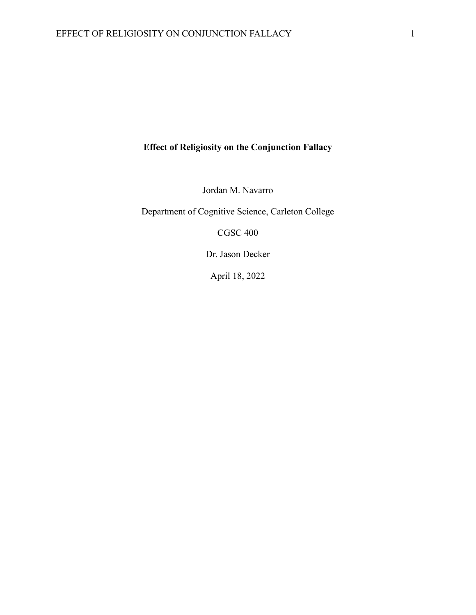# **Effect of Religiosity on the Conjunction Fallacy**

Jordan M. Navarro

Department of Cognitive Science, Carleton College

CGSC 400

Dr. Jason Decker

April 18, 2022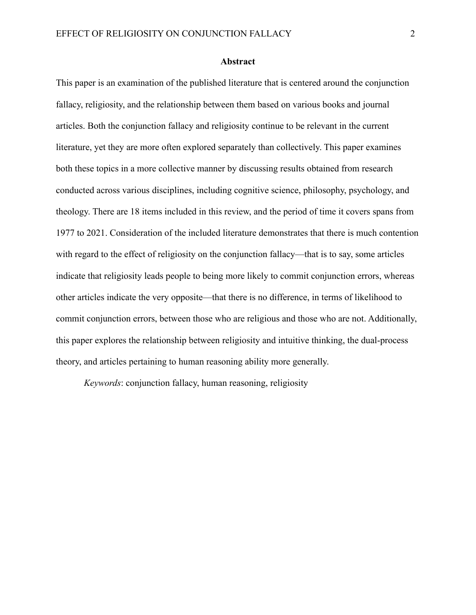#### **Abstract**

This paper is an examination of the published literature that is centered around the conjunction fallacy, religiosity, and the relationship between them based on various books and journal articles. Both the conjunction fallacy and religiosity continue to be relevant in the current literature, yet they are more often explored separately than collectively. This paper examines both these topics in a more collective manner by discussing results obtained from research conducted across various disciplines, including cognitive science, philosophy, psychology, and theology. There are 18 items included in this review, and the period of time it covers spans from 1977 to 2021. Consideration of the included literature demonstrates that there is much contention with regard to the effect of religiosity on the conjunction fallacy—that is to say, some articles indicate that religiosity leads people to being more likely to commit conjunction errors, whereas other articles indicate the very opposite—that there is no difference, in terms of likelihood to commit conjunction errors, between those who are religious and those who are not. Additionally, this paper explores the relationship between religiosity and intuitive thinking, the dual-process theory, and articles pertaining to human reasoning ability more generally.

*Keywords*: conjunction fallacy, human reasoning, religiosity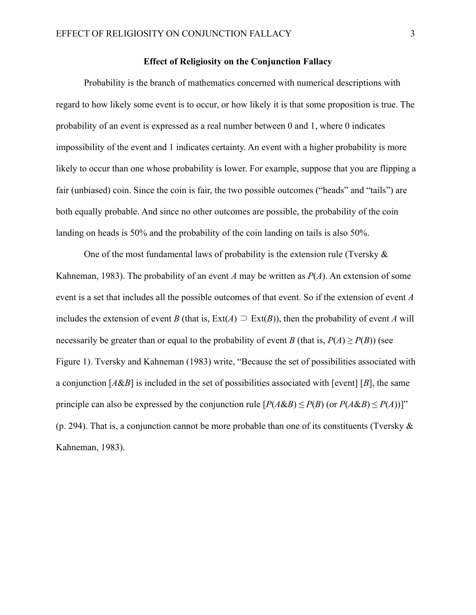#### **Effect of Religiosity on the Conjunction Fallacy**

Probability is the branch of mathematics concerned with numerical descriptions with regard to how likely some event is to occur, or how likely it is that some proposition is true. The probability of an event is expressed as a real number between 0 and 1, where 0 indicates impossibility of the event and 1 indicates certainty. An event with a higher probability is more likely to occur than one whose probability is lower. For example, suppose that you are flipping a fair (unbiased) coin. Since the coin is fair, the two possible outcomes ("heads" and "tails") are both equally probable. And since no other outcomes are possible, the probability of the coin landing on heads is 50% and the probability of the coin landing on tails is also 50%.

One of the most fundamental laws of probability is the extension rule (Tversky  $\&$ Kahneman, 1983). The probability of an event *A* may be written as *P*(*A*). An extension of some event is a set that includes all the possible outcomes of that event. So if the extension of event *A* includes the extension of event *B* (that is,  $Ext(A) \supseteq Ext(B)$ ), then the probability of event *A* will necessarily be greater than or equal to the probability of event *B* (that is,  $P(A) \ge P(B)$ ) (see Figure 1). Tversky and Kahneman (1983) write, "Because the set of possibilities associated with a conjunction  $[A&B]$  is included in the set of possibilities associated with [event]  $[B]$ , the same principle can also be expressed by the conjunction rule  $[P(A\&B) \leq P(B)$  (or  $P(A\&B) \leq P(A))$ ]" (p. 294). That is, a conjunction cannot be more probable than one of its constituents (Tversky  $\&$ Kahneman, 1983).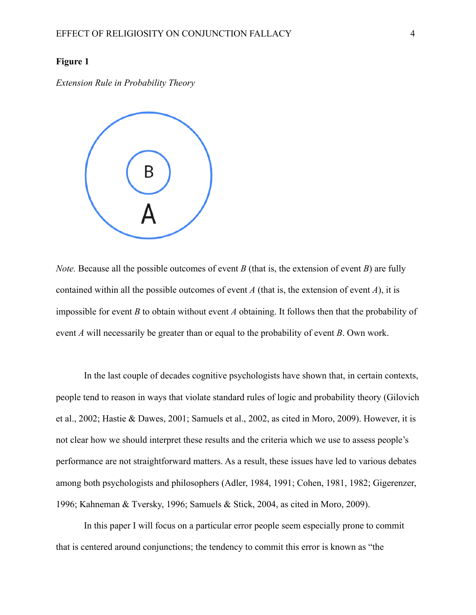#### **Figure 1**

*Extension Rule in Probability Theory*



*Note.* Because all the possible outcomes of event *B* (that is, the extension of event *B*) are fully contained within all the possible outcomes of event *A* (that is, the extension of event *A*), it is impossible for event *B* to obtain without event *A* obtaining. It follows then that the probability of event *A* will necessarily be greater than or equal to the probability of event *B*. Own work.

In the last couple of decades cognitive psychologists have shown that, in certain contexts, people tend to reason in ways that violate standard rules of logic and probability theory (Gilovich et al., 2002; Hastie & Dawes, 2001; Samuels et al., 2002, as cited in Moro, 2009). However, it is not clear how we should interpret these results and the criteria which we use to assess people's performance are not straightforward matters. As a result, these issues have led to various debates among both psychologists and philosophers (Adler, 1984, 1991; Cohen, 1981, 1982; Gigerenzer, 1996; Kahneman & Tversky, 1996; Samuels & Stick, 2004, as cited in Moro, 2009).

In this paper I will focus on a particular error people seem especially prone to commit that is centered around conjunctions; the tendency to commit this error is known as "the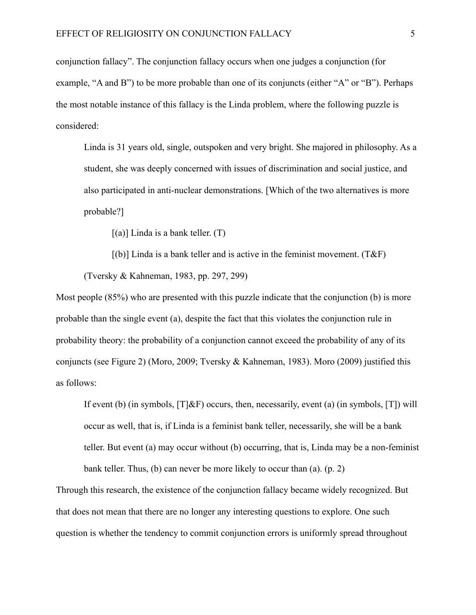conjunction fallacy". The conjunction fallacy occurs when one judges a conjunction (for example, "A and B") to be more probable than one of its conjuncts (either "A" or "B"). Perhaps the most notable instance of this fallacy is the Linda problem, where the following puzzle is considered:

Linda is 31 years old, single, outspoken and very bright. She majored in philosophy. As a student, she was deeply concerned with issues of discrimination and social justice, and also participated in anti-nuclear demonstrations. [Which of the two alternatives is more probable?]

 $[(a)]$  Linda is a bank teller.  $(T)$ 

 $[(b)]$  Linda is a bank teller and is active in the feminist movement. (T&F) (Tversky & Kahneman, 1983, pp. 297, 299)

Most people (85%) who are presented with this puzzle indicate that the conjunction (b) is more probable than the single event (a), despite the fact that this violates the conjunction rule in probability theory: the probability of a conjunction cannot exceed the probability of any of its conjuncts (see Figure 2) (Moro, 2009; Tversky & Kahneman, 1983). Moro (2009) justified this as follows:

If event (b) (in symbols,  $[T]$ &F) occurs, then, necessarily, event (a) (in symbols,  $[T]$ ) will occur as well, that is, if Linda is a feminist bank teller, necessarily, she will be a bank teller. But event (a) may occur without (b) occurring, that is, Linda may be a non-feminist bank teller. Thus, (b) can never be more likely to occur than (a). (p. 2)

Through this research, the existence of the conjunction fallacy became widely recognized. But that does not mean that there are no longer any interesting questions to explore. One such question is whether the tendency to commit conjunction errors is uniformly spread throughout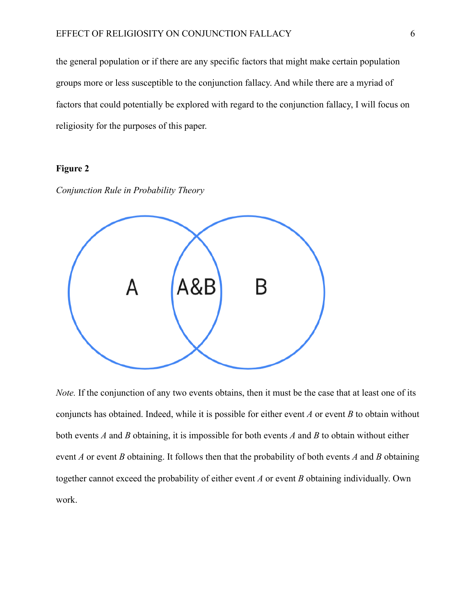the general population or if there are any specific factors that might make certain population groups more or less susceptible to the conjunction fallacy. And while there are a myriad of factors that could potentially be explored with regard to the conjunction fallacy, I will focus on religiosity for the purposes of this paper.

### **Figure 2**





*Note.* If the conjunction of any two events obtains, then it must be the case that at least one of its conjuncts has obtained. Indeed, while it is possible for either event *A* or event *B* to obtain without both events *A* and *B* obtaining, it is impossible for both events *A* and *B* to obtain without either event *A* or event *B* obtaining. It follows then that the probability of both events *A* and *B* obtaining together cannot exceed the probability of either event *A* or event *B* obtaining individually. Own work.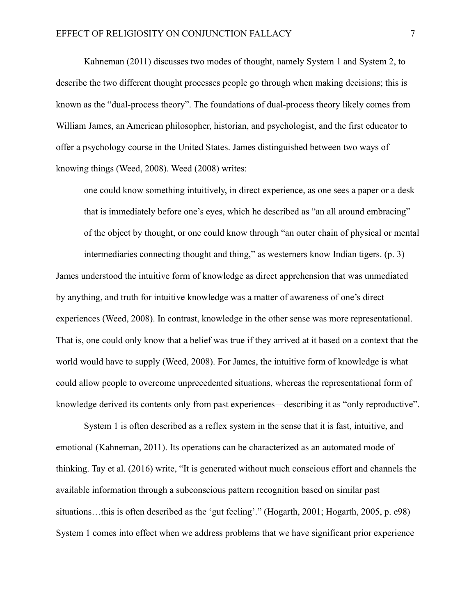Kahneman (2011) discusses two modes of thought, namely System 1 and System 2, to describe the two different thought processes people go through when making decisions; this is known as the "dual-process theory". The foundations of dual-process theory likely comes from William James, an American philosopher, historian, and psychologist, and the first educator to offer a psychology course in the United States. James distinguished between two ways of knowing things (Weed, 2008). Weed (2008) writes:

one could know something intuitively, in direct experience, as one sees a paper or a desk that is immediately before one's eyes, which he described as "an all around embracing" of the object by thought, or one could know through "an outer chain of physical or mental intermediaries connecting thought and thing," as westerners know Indian tigers. (p. 3)

James understood the intuitive form of knowledge as direct apprehension that was unmediated by anything, and truth for intuitive knowledge was a matter of awareness of one's direct experiences (Weed, 2008). In contrast, knowledge in the other sense was more representational. That is, one could only know that a belief was true if they arrived at it based on a context that the world would have to supply (Weed, 2008). For James, the intuitive form of knowledge is what could allow people to overcome unprecedented situations, whereas the representational form of knowledge derived its contents only from past experiences—describing it as "only reproductive".

System 1 is often described as a reflex system in the sense that it is fast, intuitive, and emotional (Kahneman, 2011). Its operations can be characterized as an automated mode of thinking. Tay et al. (2016) write, "It is generated without much conscious effort and channels the available information through a subconscious pattern recognition based on similar past situations…this is often described as the 'gut feeling'." (Hogarth, 2001; Hogarth, 2005, p. e98) System 1 comes into effect when we address problems that we have significant prior experience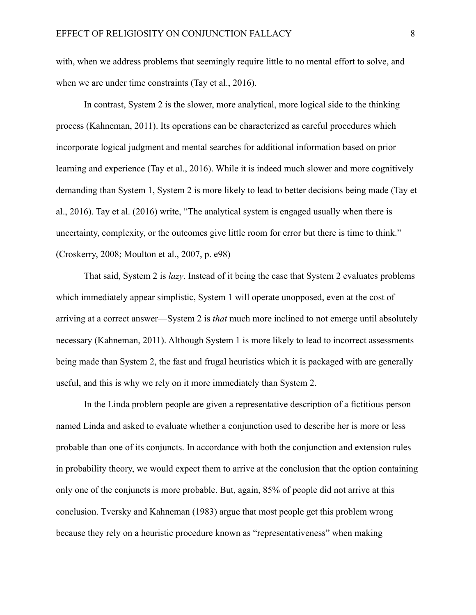with, when we address problems that seemingly require little to no mental effort to solve, and when we are under time constraints (Tay et al., 2016).

In contrast, System 2 is the slower, more analytical, more logical side to the thinking process (Kahneman, 2011). Its operations can be characterized as careful procedures which incorporate logical judgment and mental searches for additional information based on prior learning and experience (Tay et al., 2016). While it is indeed much slower and more cognitively demanding than System 1, System 2 is more likely to lead to better decisions being made (Tay et al., 2016). Tay et al. (2016) write, "The analytical system is engaged usually when there is uncertainty, complexity, or the outcomes give little room for error but there is time to think." (Croskerry, 2008; Moulton et al., 2007, p. e98)

That said, System 2 is *lazy*. Instead of it being the case that System 2 evaluates problems which immediately appear simplistic, System 1 will operate unopposed, even at the cost of arriving at a correct answer—System 2 is *that* much more inclined to not emerge until absolutely necessary (Kahneman, 2011). Although System 1 is more likely to lead to incorrect assessments being made than System 2, the fast and frugal heuristics which it is packaged with are generally useful, and this is why we rely on it more immediately than System 2.

In the Linda problem people are given a representative description of a fictitious person named Linda and asked to evaluate whether a conjunction used to describe her is more or less probable than one of its conjuncts. In accordance with both the conjunction and extension rules in probability theory, we would expect them to arrive at the conclusion that the option containing only one of the conjuncts is more probable. But, again, 85% of people did not arrive at this conclusion. Tversky and Kahneman (1983) argue that most people get this problem wrong because they rely on a heuristic procedure known as "representativeness" when making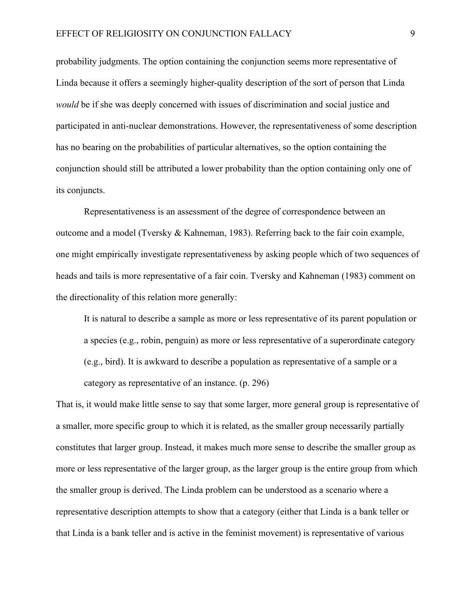probability judgments. The option containing the conjunction seems more representative of Linda because it offers a seemingly higher-quality description of the sort of person that Linda *would* be if she was deeply concerned with issues of discrimination and social justice and participated in anti-nuclear demonstrations. However, the representativeness of some description has no bearing on the probabilities of particular alternatives, so the option containing the conjunction should still be attributed a lower probability than the option containing only one of its conjuncts.

Representativeness is an assessment of the degree of correspondence between an outcome and a model (Tversky & Kahneman, 1983). Referring back to the fair coin example, one might empirically investigate representativeness by asking people which of two sequences of heads and tails is more representative of a fair coin. Tversky and Kahneman (1983) comment on the directionality of this relation more generally:

It is natural to describe a sample as more or less representative of its parent population or a species (e.g., robin, penguin) as more or less representative of a superordinate category (e.g., bird). It is awkward to describe a population as representative of a sample or a category as representative of an instance. (p. 296)

That is, it would make little sense to say that some larger, more general group is representative of a smaller, more specific group to which it is related, as the smaller group necessarily partially constitutes that larger group. Instead, it makes much more sense to describe the smaller group as more or less representative of the larger group, as the larger group is the entire group from which the smaller group is derived. The Linda problem can be understood as a scenario where a representative description attempts to show that a category (either that Linda is a bank teller or that Linda is a bank teller and is active in the feminist movement) is representative of various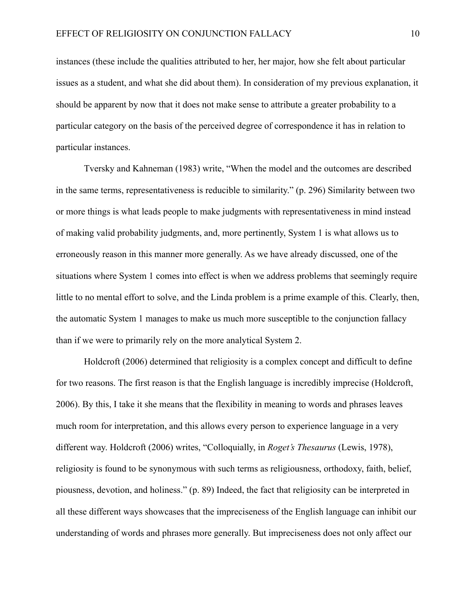instances (these include the qualities attributed to her, her major, how she felt about particular issues as a student, and what she did about them). In consideration of my previous explanation, it should be apparent by now that it does not make sense to attribute a greater probability to a particular category on the basis of the perceived degree of correspondence it has in relation to particular instances.

Tversky and Kahneman (1983) write, "When the model and the outcomes are described in the same terms, representativeness is reducible to similarity." (p. 296) Similarity between two or more things is what leads people to make judgments with representativeness in mind instead of making valid probability judgments, and, more pertinently, System 1 is what allows us to erroneously reason in this manner more generally. As we have already discussed, one of the situations where System 1 comes into effect is when we address problems that seemingly require little to no mental effort to solve, and the Linda problem is a prime example of this. Clearly, then, the automatic System 1 manages to make us much more susceptible to the conjunction fallacy than if we were to primarily rely on the more analytical System 2.

Holdcroft (2006) determined that religiosity is a complex concept and difficult to define for two reasons. The first reason is that the English language is incredibly imprecise (Holdcroft, 2006). By this, I take it she means that the flexibility in meaning to words and phrases leaves much room for interpretation, and this allows every person to experience language in a very different way. Holdcroft (2006) writes, "Colloquially, in *Roget's Thesaurus* (Lewis, 1978), religiosity is found to be synonymous with such terms as religiousness, orthodoxy, faith, belief, piousness, devotion, and holiness." (p. 89) Indeed, the fact that religiosity can be interpreted in all these different ways showcases that the impreciseness of the English language can inhibit our understanding of words and phrases more generally. But impreciseness does not only affect our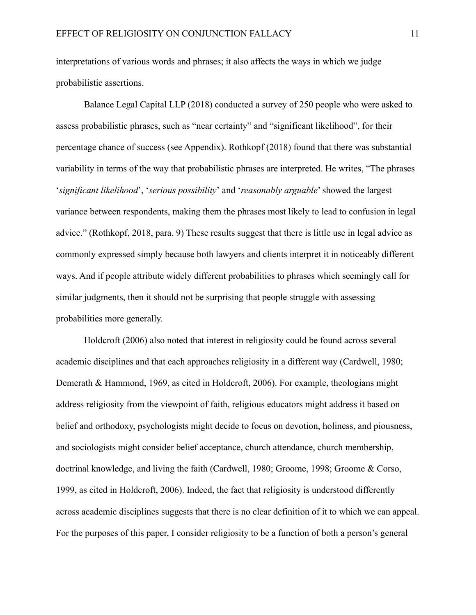interpretations of various words and phrases; it also affects the ways in which we judge probabilistic assertions.

Balance Legal Capital LLP (2018) conducted a survey of 250 people who were asked to assess probabilistic phrases, such as "near certainty" and "significant likelihood", for their percentage chance of success (see Appendix). Rothkopf (2018) found that there was substantial variability in terms of the way that probabilistic phrases are interpreted. He writes, "The phrases '*significant likelihood*', '*serious possibility*' and '*reasonably arguable*' showed the largest variance between respondents, making them the phrases most likely to lead to confusion in legal advice." (Rothkopf, 2018, para. 9) These results suggest that there is little use in legal advice as commonly expressed simply because both lawyers and clients interpret it in noticeably different ways. And if people attribute widely different probabilities to phrases which seemingly call for similar judgments, then it should not be surprising that people struggle with assessing probabilities more generally.

Holdcroft (2006) also noted that interest in religiosity could be found across several academic disciplines and that each approaches religiosity in a different way (Cardwell, 1980; Demerath & Hammond, 1969, as cited in Holdcroft, 2006). For example, theologians might address religiosity from the viewpoint of faith, religious educators might address it based on belief and orthodoxy, psychologists might decide to focus on devotion, holiness, and piousness, and sociologists might consider belief acceptance, church attendance, church membership, doctrinal knowledge, and living the faith (Cardwell, 1980; Groome, 1998; Groome & Corso, 1999, as cited in Holdcroft, 2006). Indeed, the fact that religiosity is understood differently across academic disciplines suggests that there is no clear definition of it to which we can appeal. For the purposes of this paper, I consider religiosity to be a function of both a person's general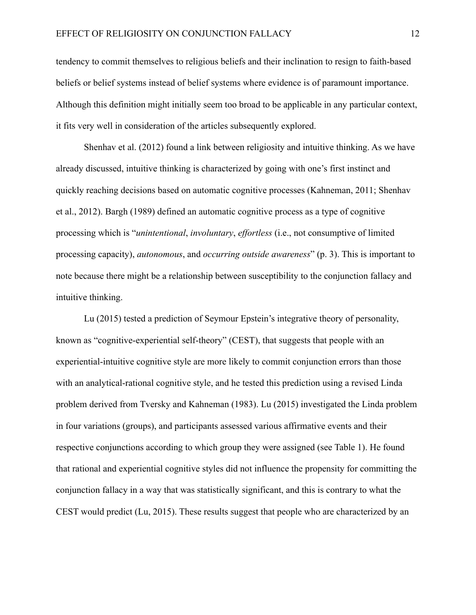tendency to commit themselves to religious beliefs and their inclination to resign to faith-based beliefs or belief systems instead of belief systems where evidence is of paramount importance. Although this definition might initially seem too broad to be applicable in any particular context, it fits very well in consideration of the articles subsequently explored.

Shenhav et al. (2012) found a link between religiosity and intuitive thinking. As we have already discussed, intuitive thinking is characterized by going with one's first instinct and quickly reaching decisions based on automatic cognitive processes (Kahneman, 2011; Shenhav et al., 2012). Bargh (1989) defined an automatic cognitive process as a type of cognitive processing which is "*unintentional*, *involuntary*, *effortless* (i.e., not consumptive of limited processing capacity), *autonomous*, and *occurring outside awareness*" (p. 3). This is important to note because there might be a relationship between susceptibility to the conjunction fallacy and intuitive thinking.

Lu (2015) tested a prediction of Seymour Epstein's integrative theory of personality, known as "cognitive-experiential self-theory" (CEST), that suggests that people with an experiential-intuitive cognitive style are more likely to commit conjunction errors than those with an analytical-rational cognitive style, and he tested this prediction using a revised Linda problem derived from Tversky and Kahneman (1983). Lu (2015) investigated the Linda problem in four variations (groups), and participants assessed various affirmative events and their respective conjunctions according to which group they were assigned (see Table 1). He found that rational and experiential cognitive styles did not influence the propensity for committing the conjunction fallacy in a way that was statistically significant, and this is contrary to what the CEST would predict (Lu, 2015). These results suggest that people who are characterized by an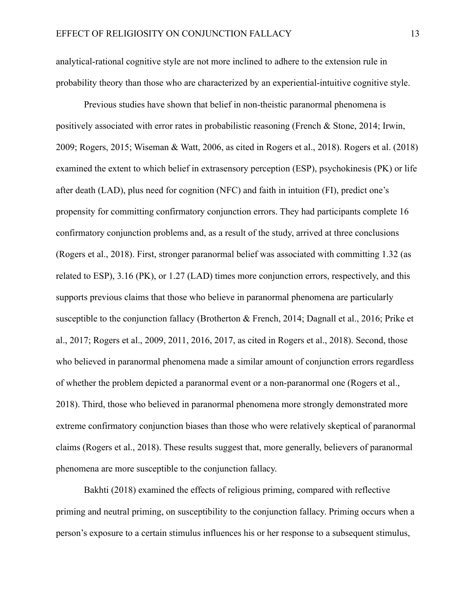analytical-rational cognitive style are not more inclined to adhere to the extension rule in probability theory than those who are characterized by an experiential-intuitive cognitive style.

Previous studies have shown that belief in non-theistic paranormal phenomena is positively associated with error rates in probabilistic reasoning (French & Stone, 2014; Irwin, 2009; Rogers, 2015; Wiseman & Watt, 2006, as cited in Rogers et al., 2018). Rogers et al. (2018) examined the extent to which belief in extrasensory perception (ESP), psychokinesis (PK) or life after death (LAD), plus need for cognition (NFC) and faith in intuition (FI), predict one's propensity for committing confirmatory conjunction errors. They had participants complete 16 confirmatory conjunction problems and, as a result of the study, arrived at three conclusions (Rogers et al., 2018). First, stronger paranormal belief was associated with committing 1.32 (as related to ESP), 3.16 (PK), or 1.27 (LAD) times more conjunction errors, respectively, and this supports previous claims that those who believe in paranormal phenomena are particularly susceptible to the conjunction fallacy (Brotherton & French, 2014; Dagnall et al., 2016; Prike et al., 2017; Rogers et al., 2009, 2011, 2016, 2017, as cited in Rogers et al., 2018). Second, those who believed in paranormal phenomena made a similar amount of conjunction errors regardless of whether the problem depicted a paranormal event or a non-paranormal one (Rogers et al., 2018). Third, those who believed in paranormal phenomena more strongly demonstrated more extreme confirmatory conjunction biases than those who were relatively skeptical of paranormal claims (Rogers et al., 2018). These results suggest that, more generally, believers of paranormal phenomena are more susceptible to the conjunction fallacy.

Bakhti (2018) examined the effects of religious priming, compared with reflective priming and neutral priming, on susceptibility to the conjunction fallacy. Priming occurs when a person's exposure to a certain stimulus influences his or her response to a subsequent stimulus,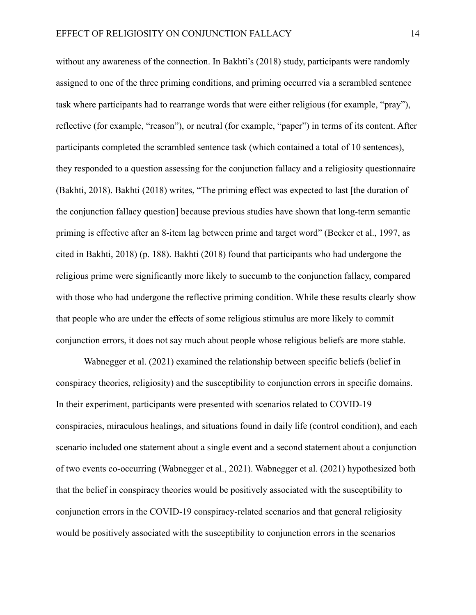without any awareness of the connection. In Bakhti's (2018) study, participants were randomly assigned to one of the three priming conditions, and priming occurred via a scrambled sentence task where participants had to rearrange words that were either religious (for example, "pray"), reflective (for example, "reason"), or neutral (for example, "paper") in terms of its content. After participants completed the scrambled sentence task (which contained a total of 10 sentences), they responded to a question assessing for the conjunction fallacy and a religiosity questionnaire (Bakhti, 2018). Bakhti (2018) writes, "The priming effect was expected to last [the duration of the conjunction fallacy question] because previous studies have shown that long-term semantic priming is effective after an 8-item lag between prime and target word" (Becker et al., 1997, as cited in Bakhti, 2018) (p. 188). Bakhti (2018) found that participants who had undergone the religious prime were significantly more likely to succumb to the conjunction fallacy, compared with those who had undergone the reflective priming condition. While these results clearly show that people who are under the effects of some religious stimulus are more likely to commit conjunction errors, it does not say much about people whose religious beliefs are more stable.

Wabnegger et al. (2021) examined the relationship between specific beliefs (belief in conspiracy theories, religiosity) and the susceptibility to conjunction errors in specific domains. In their experiment, participants were presented with scenarios related to COVID-19 conspiracies, miraculous healings, and situations found in daily life (control condition), and each scenario included one statement about a single event and a second statement about a conjunction of two events co-occurring (Wabnegger et al., 2021). Wabnegger et al. (2021) hypothesized both that the belief in conspiracy theories would be positively associated with the susceptibility to conjunction errors in the COVID-19 conspiracy-related scenarios and that general religiosity would be positively associated with the susceptibility to conjunction errors in the scenarios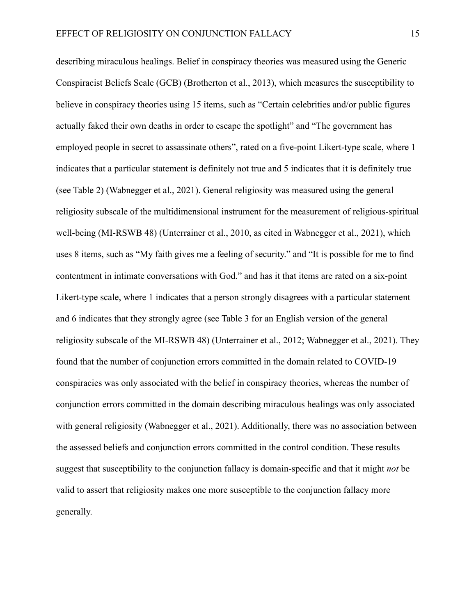describing miraculous healings. Belief in conspiracy theories was measured using the Generic Conspiracist Beliefs Scale (GCB) (Brotherton et al., 2013), which measures the susceptibility to believe in conspiracy theories using 15 items, such as "Certain celebrities and/or public figures actually faked their own deaths in order to escape the spotlight" and "The government has employed people in secret to assassinate others", rated on a five-point Likert-type scale, where 1 indicates that a particular statement is definitely not true and 5 indicates that it is definitely true (see Table 2) (Wabnegger et al., 2021). General religiosity was measured using the general religiosity subscale of the multidimensional instrument for the measurement of religious-spiritual well-being (MI-RSWB 48) (Unterrainer et al., 2010, as cited in Wabnegger et al., 2021), which uses 8 items, such as "My faith gives me a feeling of security." and "It is possible for me to find contentment in intimate conversations with God." and has it that items are rated on a six-point Likert-type scale, where 1 indicates that a person strongly disagrees with a particular statement and 6 indicates that they strongly agree (see Table 3 for an English version of the general religiosity subscale of the MI-RSWB 48) (Unterrainer et al., 2012; Wabnegger et al., 2021). They found that the number of conjunction errors committed in the domain related to COVID-19 conspiracies was only associated with the belief in conspiracy theories, whereas the number of conjunction errors committed in the domain describing miraculous healings was only associated with general religiosity (Wabnegger et al., 2021). Additionally, there was no association between the assessed beliefs and conjunction errors committed in the control condition. These results suggest that susceptibility to the conjunction fallacy is domain-specific and that it might *not* be valid to assert that religiosity makes one more susceptible to the conjunction fallacy more generally.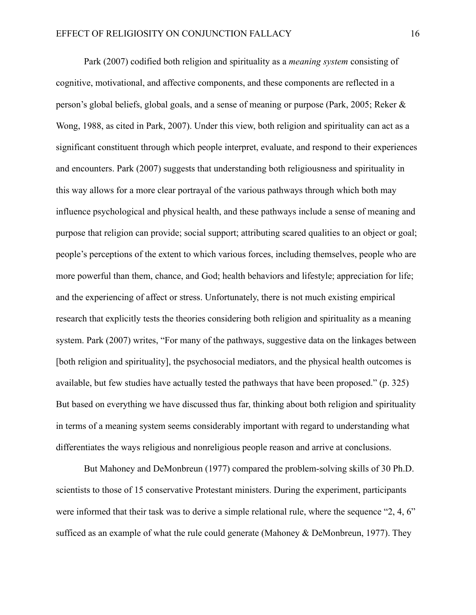Park (2007) codified both religion and spirituality as a *meaning system* consisting of cognitive, motivational, and affective components, and these components are reflected in a person's global beliefs, global goals, and a sense of meaning or purpose (Park, 2005; Reker & Wong, 1988, as cited in Park, 2007). Under this view, both religion and spirituality can act as a significant constituent through which people interpret, evaluate, and respond to their experiences and encounters. Park (2007) suggests that understanding both religiousness and spirituality in this way allows for a more clear portrayal of the various pathways through which both may influence psychological and physical health, and these pathways include a sense of meaning and purpose that religion can provide; social support; attributing scared qualities to an object or goal; people's perceptions of the extent to which various forces, including themselves, people who are more powerful than them, chance, and God; health behaviors and lifestyle; appreciation for life; and the experiencing of affect or stress. Unfortunately, there is not much existing empirical research that explicitly tests the theories considering both religion and spirituality as a meaning system. Park (2007) writes, "For many of the pathways, suggestive data on the linkages between [both religion and spirituality], the psychosocial mediators, and the physical health outcomes is available, but few studies have actually tested the pathways that have been proposed." (p. 325) But based on everything we have discussed thus far, thinking about both religion and spirituality in terms of a meaning system seems considerably important with regard to understanding what differentiates the ways religious and nonreligious people reason and arrive at conclusions.

But Mahoney and DeMonbreun (1977) compared the problem-solving skills of 30 Ph.D. scientists to those of 15 conservative Protestant ministers. During the experiment, participants were informed that their task was to derive a simple relational rule, where the sequence "2, 4, 6" sufficed as an example of what the rule could generate (Mahoney & DeMonbreun, 1977). They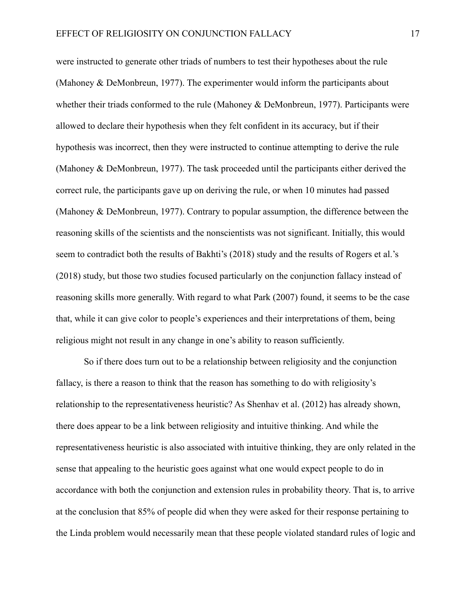were instructed to generate other triads of numbers to test their hypotheses about the rule (Mahoney & DeMonbreun, 1977). The experimenter would inform the participants about whether their triads conformed to the rule (Mahoney & DeMonbreun, 1977). Participants were allowed to declare their hypothesis when they felt confident in its accuracy, but if their hypothesis was incorrect, then they were instructed to continue attempting to derive the rule (Mahoney & DeMonbreun, 1977). The task proceeded until the participants either derived the correct rule, the participants gave up on deriving the rule, or when 10 minutes had passed (Mahoney & DeMonbreun, 1977). Contrary to popular assumption, the difference between the reasoning skills of the scientists and the nonscientists was not significant. Initially, this would seem to contradict both the results of Bakhti's (2018) study and the results of Rogers et al.'s (2018) study, but those two studies focused particularly on the conjunction fallacy instead of reasoning skills more generally. With regard to what Park (2007) found, it seems to be the case that, while it can give color to people's experiences and their interpretations of them, being religious might not result in any change in one's ability to reason sufficiently.

So if there does turn out to be a relationship between religiosity and the conjunction fallacy, is there a reason to think that the reason has something to do with religiosity's relationship to the representativeness heuristic? As Shenhav et al. (2012) has already shown, there does appear to be a link between religiosity and intuitive thinking. And while the representativeness heuristic is also associated with intuitive thinking, they are only related in the sense that appealing to the heuristic goes against what one would expect people to do in accordance with both the conjunction and extension rules in probability theory. That is, to arrive at the conclusion that 85% of people did when they were asked for their response pertaining to the Linda problem would necessarily mean that these people violated standard rules of logic and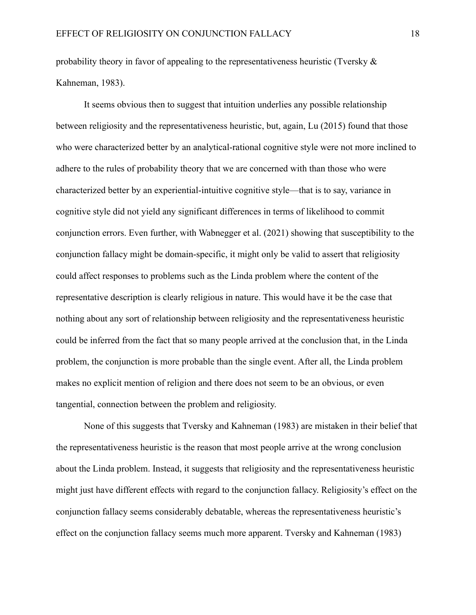probability theory in favor of appealing to the representativeness heuristic (Tversky  $\&$ Kahneman, 1983).

It seems obvious then to suggest that intuition underlies any possible relationship between religiosity and the representativeness heuristic, but, again, Lu (2015) found that those who were characterized better by an analytical-rational cognitive style were not more inclined to adhere to the rules of probability theory that we are concerned with than those who were characterized better by an experiential-intuitive cognitive style—that is to say, variance in cognitive style did not yield any significant differences in terms of likelihood to commit conjunction errors. Even further, with Wabnegger et al. (2021) showing that susceptibility to the conjunction fallacy might be domain-specific, it might only be valid to assert that religiosity could affect responses to problems such as the Linda problem where the content of the representative description is clearly religious in nature. This would have it be the case that nothing about any sort of relationship between religiosity and the representativeness heuristic could be inferred from the fact that so many people arrived at the conclusion that, in the Linda problem, the conjunction is more probable than the single event. After all, the Linda problem makes no explicit mention of religion and there does not seem to be an obvious, or even tangential, connection between the problem and religiosity.

None of this suggests that Tversky and Kahneman (1983) are mistaken in their belief that the representativeness heuristic is the reason that most people arrive at the wrong conclusion about the Linda problem. Instead, it suggests that religiosity and the representativeness heuristic might just have different effects with regard to the conjunction fallacy. Religiosity's effect on the conjunction fallacy seems considerably debatable, whereas the representativeness heuristic's effect on the conjunction fallacy seems much more apparent. Tversky and Kahneman (1983)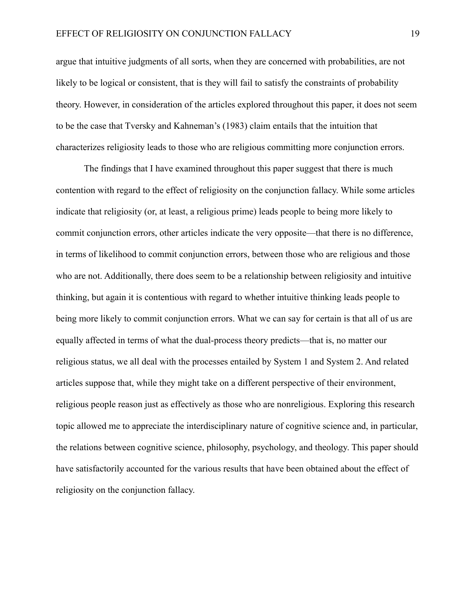argue that intuitive judgments of all sorts, when they are concerned with probabilities, are not likely to be logical or consistent, that is they will fail to satisfy the constraints of probability theory. However, in consideration of the articles explored throughout this paper, it does not seem to be the case that Tversky and Kahneman's (1983) claim entails that the intuition that characterizes religiosity leads to those who are religious committing more conjunction errors.

The findings that I have examined throughout this paper suggest that there is much contention with regard to the effect of religiosity on the conjunction fallacy. While some articles indicate that religiosity (or, at least, a religious prime) leads people to being more likely to commit conjunction errors, other articles indicate the very opposite—that there is no difference, in terms of likelihood to commit conjunction errors, between those who are religious and those who are not. Additionally, there does seem to be a relationship between religiosity and intuitive thinking, but again it is contentious with regard to whether intuitive thinking leads people to being more likely to commit conjunction errors. What we can say for certain is that all of us are equally affected in terms of what the dual-process theory predicts—that is, no matter our religious status, we all deal with the processes entailed by System 1 and System 2. And related articles suppose that, while they might take on a different perspective of their environment, religious people reason just as effectively as those who are nonreligious. Exploring this research topic allowed me to appreciate the interdisciplinary nature of cognitive science and, in particular, the relations between cognitive science, philosophy, psychology, and theology. This paper should have satisfactorily accounted for the various results that have been obtained about the effect of religiosity on the conjunction fallacy.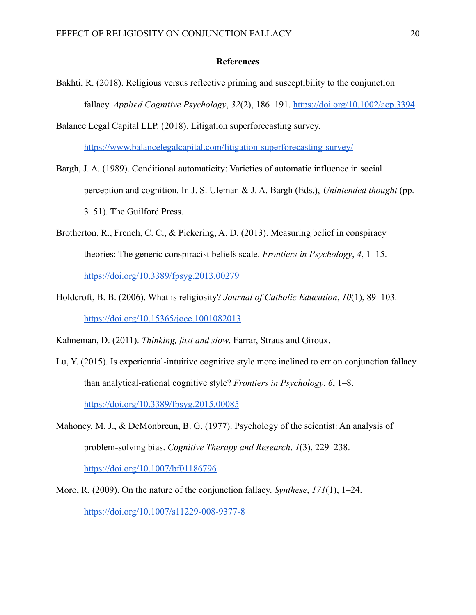#### **References**

- Bakhti, R. (2018). Religious versus reflective priming and susceptibility to the conjunction fallacy. *Applied Cognitive Psychology*, *32*(2), 186–191. <https://doi.org/10.1002/acp.3394>
- Balance Legal Capital LLP. (2018). Litigation superforecasting survey. <https://www.balancelegalcapital.com/litigation-superforecasting-survey/>
- Bargh, J. A. (1989). Conditional automaticity: Varieties of automatic influence in social perception and cognition. In J. S. Uleman & J. A. Bargh (Eds.), *Unintended thought* (pp. 3–51). The Guilford Press.
- Brotherton, R., French, C. C., & Pickering, A. D. (2013). Measuring belief in conspiracy theories: The generic conspiracist beliefs scale. *Frontiers in Psychology*, *4*, 1–15. <https://doi.org/10.3389/fpsyg.2013.00279>
- Holdcroft, B. B. (2006). What is religiosity? *Journal of Catholic Education*, *10*(1), 89–103. <https://doi.org/10.15365/joce.1001082013>

Kahneman, D. (2011). *Thinking, fast and slow*. Farrar, Straus and Giroux.

- Lu, Y. (2015). Is experiential-intuitive cognitive style more inclined to err on conjunction fallacy than analytical-rational cognitive style? *Frontiers in Psychology*, *6*, 1–8. <https://doi.org/10.3389/fpsyg.2015.00085>
- Mahoney, M. J., & DeMonbreun, B. G. (1977). Psychology of the scientist: An analysis of problem-solving bias. *Cognitive Therapy and Research*, *1*(3), 229–238. <https://doi.org/10.1007/bf01186796>
- Moro, R. (2009). On the nature of the conjunction fallacy. *Synthese*, *171*(1), 1–24. <https://doi.org/10.1007/s11229-008-9377-8>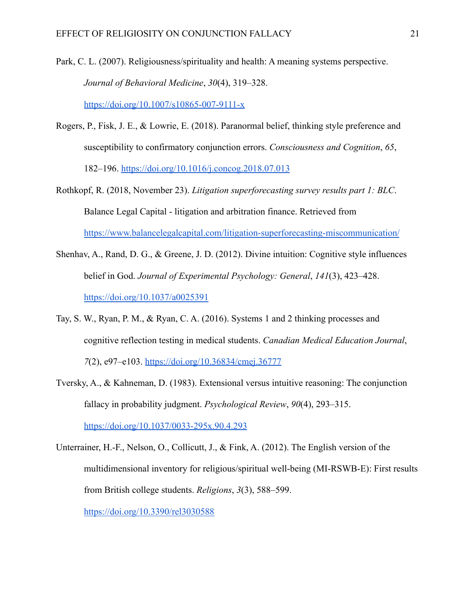Park, C. L. (2007). Religiousness/spirituality and health: A meaning systems perspective. *Journal of Behavioral Medicine*, *30*(4), 319–328.

<https://doi.org/10.1007/s10865-007-9111-x>

- Rogers, P., Fisk, J. E., & Lowrie, E. (2018). Paranormal belief, thinking style preference and susceptibility to confirmatory conjunction errors. *Consciousness and Cognition*, *65*, 182–196. <https://doi.org/10.1016/j.concog.2018.07.013>
- Rothkopf, R. (2018, November 23). *Litigation superforecasting survey results part 1: BLC*. Balance Legal Capital - litigation and arbitration finance. Retrieved from <https://www.balancelegalcapital.com/litigation-superforecasting-miscommunication/>
- Shenhav, A., Rand, D. G., & Greene, J. D. (2012). Divine intuition: Cognitive style influences belief in God. *Journal of Experimental Psychology: General*, *141*(3), 423–428. <https://doi.org/10.1037/a0025391>
- Tay, S. W., Ryan, P. M., & Ryan, C. A. (2016). Systems 1 and 2 thinking processes and cognitive reflection testing in medical students. *Canadian Medical Education Journal*, *7*(2), e97–e103. <https://doi.org/10.36834/cmej.36777>
- Tversky, A., & Kahneman, D. (1983). Extensional versus intuitive reasoning: The conjunction fallacy in probability judgment. *Psychological Review*, *90*(4), 293–315. <https://doi.org/10.1037/0033-295x.90.4.293>
- Unterrainer, H.-F., Nelson, O., Collicutt, J., & Fink, A. (2012). The English version of the multidimensional inventory for religious/spiritual well-being (MI-RSWB-E): First results from British college students. *Religions*, *3*(3), 588–599.

<https://doi.org/10.3390/rel3030588>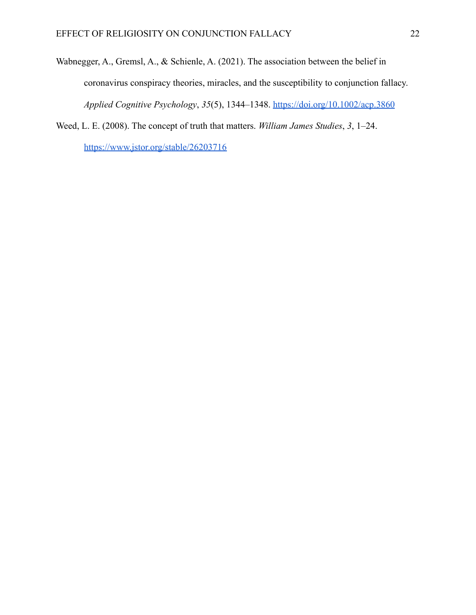- Wabnegger, A., Gremsl, A., & Schienle, A. (2021). The association between the belief in coronavirus conspiracy theories, miracles, and the susceptibility to conjunction fallacy. *Applied Cognitive Psychology*, *35*(5), 1344–1348. <https://doi.org/10.1002/acp.3860>
- Weed, L. E. (2008). The concept of truth that matters. *William James Studies*, *3*, 1–24.

<https://www.jstor.org/stable/26203716>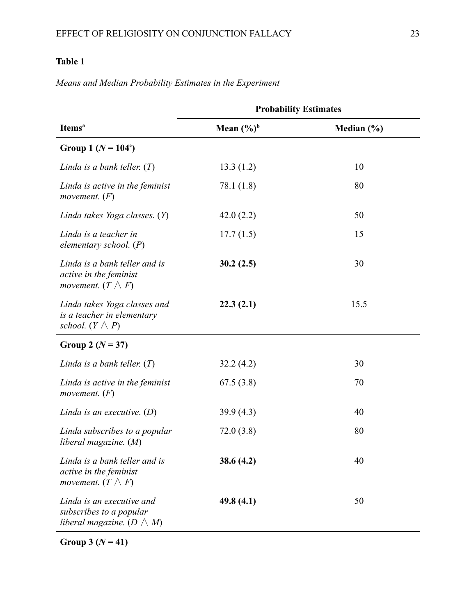# **Table 1**

|                                                                                            |                        | <b>Probability Estimates</b> |
|--------------------------------------------------------------------------------------------|------------------------|------------------------------|
| Items <sup>a</sup>                                                                         | Mean $(\frac{6}{9})^b$ | Median (%)                   |
| Group 1 ( $N = 104$ <sup>c</sup> )                                                         |                        |                              |
| Linda is a bank teller. $(T)$                                                              | 13.3(1.2)              | 10                           |
| Linda is active in the feminist<br>movement. $(F)$                                         | 78.1 (1.8)             | 80                           |
| Linda takes Yoga classes. (Y)                                                              | 42.0(2.2)              | 50                           |
| Linda is a teacher in<br>elementary school. $(P)$                                          | 17.7(1.5)              | 15                           |
| Linda is a bank teller and is<br>active in the feminist<br>movement. $(T \wedge F)$        | 30.2(2.5)              | 30                           |
| Linda takes Yoga classes and<br>is a teacher in elementary<br>school. $(Y \wedge P)$       | 22.3(2.1)              | 15.5                         |
| Group 2 $(N = 37)$                                                                         |                        |                              |
| Linda is a bank teller. $(T)$                                                              | 32.2(4.2)              | 30                           |
| Linda is active in the feminist<br>movement. $(F)$                                         | 67.5(3.8)              | 70                           |
| Linda is an executive. $(D)$                                                               | 39.9(4.3)              | 40                           |
| Linda subscribes to a popular<br>liberal magazine. (M)                                     | 72.0(3.8)              | 80                           |
| Linda is a bank teller and is<br>active in the feminist<br>movement. $(T \wedge F)$        | 38.6(4.2)              | 40                           |
| Linda is an executive and<br>subscribes to a popular<br>liberal magazine. ( $D \wedge M$ ) | 49.8(4.1)              | 50                           |

*Means and Median Probability Estimates in the Experiment*

**Group 3 (***N* **= 41)**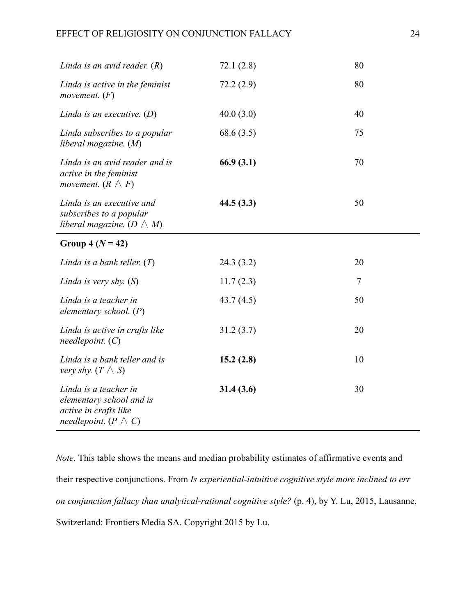| Linda is an avid reader. $(R)$                                                                              | 72.1(2.8) | 80             |
|-------------------------------------------------------------------------------------------------------------|-----------|----------------|
| Linda is active in the feminist<br>movement. $(F)$                                                          | 72.2(2.9) | 80             |
| Linda is an executive. $(D)$                                                                                | 40.0(3.0) | 40             |
| Linda subscribes to a popular<br>liberal magazine. $(M)$                                                    | 68.6(3.5) | 75             |
| Linda is an avid reader and is<br>active in the feminist<br>movement. $(R \wedge F)$                        | 66.9(3.1) | 70             |
| Linda is an executive and<br>subscribes to a popular<br>liberal magazine. ( $D \wedge M$ )                  | 44.5(3.3) | 50             |
| Group 4 $(N = 42)$                                                                                          |           |                |
| Linda is a bank teller. $(T)$                                                                               | 24.3(3.2) | 20             |
| Linda is very shy. $(S)$                                                                                    | 11.7(2.3) | $\overline{7}$ |
| Linda is a teacher in<br>elementary school. $(P)$                                                           | 43.7(4.5) | 50             |
| Linda is active in crafts like<br>needlepoint. $(C)$                                                        | 31.2(3.7) | 20             |
| Linda is a bank teller and is<br><i>very shy.</i> $(T \wedge S)$                                            | 15.2(2.8) | 10             |
| Linda is a teacher in<br>elementary school and is<br>active in crafts like<br>needlepoint. ( $P \wedge C$ ) | 31.4(3.6) | 30             |

*Note.* This table shows the means and median probability estimates of affirmative events and their respective conjunctions. From *Is experiential-intuitive cognitive style more inclined to err on conjunction fallacy than analytical-rational cognitive style?* (p. 4), by Y. Lu, 2015, Lausanne, Switzerland: Frontiers Media SA. Copyright 2015 by Lu.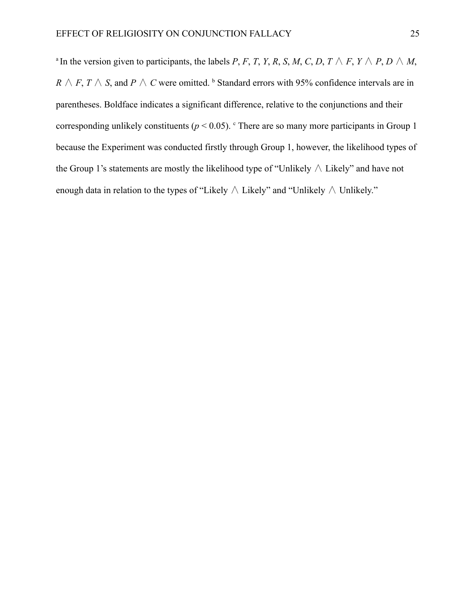$^{\alpha}$ In the version given to participants, the labels *P*, *F*, *T*, *Y*, *R*, *S*, *M*, *C*, *D*, *T*  $\land$  *F*, *Y*  $\land$  *P*, *D*  $\land$  *M*, *R*  $\land$  *F*, *T*  $\land$  *S*, and *P*  $\land$  *C* were omitted. <sup>b</sup> Standard errors with 95% confidence intervals are in parentheses. Boldface indicates a significant difference, relative to the conjunctions and their corresponding unlikely constituents ( $p < 0.05$ ). <sup>c</sup> There are so many more participants in Group 1 because the Experiment was conducted firstly through Group 1, however, the likelihood types of the Group 1's statements are mostly the likelihood type of "Unlikely ∧ Likely" and have not enough data in relation to the types of "Likely ∧ Likely" and "Unlikely ∧ Unlikely."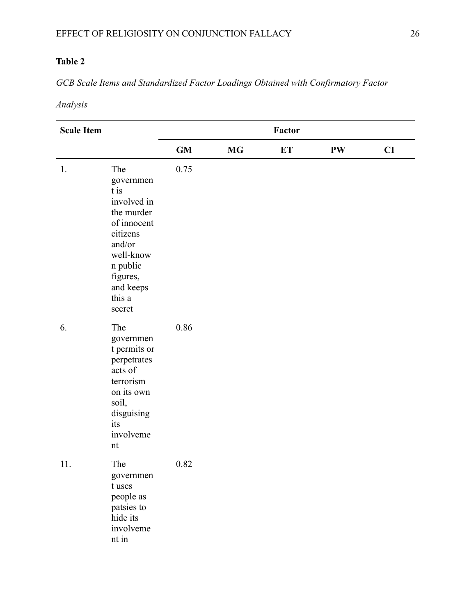# **Table 2**

*GCB Scale Items and Standardized Factor Loadings Obtained with Confirmatory Factor*

*Analysis*

| <b>Scale Item</b> |                                                                                                                                                                  | Factor    |           |           |    |    |
|-------------------|------------------------------------------------------------------------------------------------------------------------------------------------------------------|-----------|-----------|-----------|----|----|
|                   |                                                                                                                                                                  | <b>GM</b> | <b>MG</b> | <b>ET</b> | PW | CI |
| 1.                | The<br>governmen<br>t is<br>involved in<br>the murder<br>of innocent<br>citizens<br>and/or<br>well-know<br>n public<br>figures,<br>and keeps<br>this a<br>secret | 0.75      |           |           |    |    |
| 6.                | The<br>governmen<br>t permits or<br>perpetrates<br>acts of<br>terrorism<br>on its own<br>soil,<br>disguising<br>its<br>involveme<br>nt                           | 0.86      |           |           |    |    |
| 11.               | The<br>governmen<br>t uses<br>people as<br>patsies to<br>hide its<br>involveme<br>nt in                                                                          | 0.82      |           |           |    |    |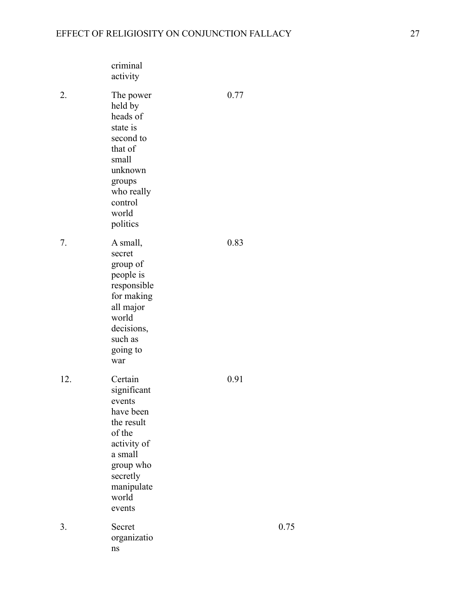|     | criminal<br>activity                                                                                                                                      |      |      |
|-----|-----------------------------------------------------------------------------------------------------------------------------------------------------------|------|------|
| 2.  | The power<br>held by<br>heads of<br>state is<br>second to<br>that of<br>small<br>unknown<br>groups<br>who really<br>control<br>world<br>politics          | 0.77 |      |
| 7.  | A small,<br>secret<br>group of<br>people is<br>responsible<br>for making<br>all major<br>world<br>decisions,<br>such as<br>going to<br>war                | 0.83 |      |
| 12. | Certain<br>significant<br>events<br>have been<br>the result<br>of the<br>activity of<br>a small<br>group who<br>secretly<br>manipulate<br>world<br>events | 0.91 |      |
| 3.  | Secret<br>organizatio<br>ns                                                                                                                               |      | 0.75 |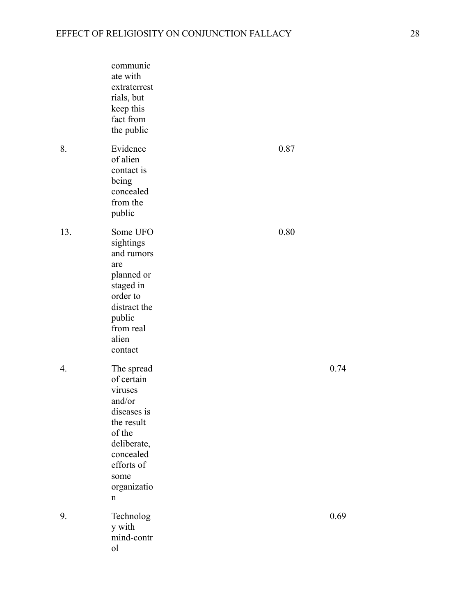|     | communic<br>ate with<br>extraterrest<br>rials, but<br>keep this<br>fact from<br>the public                                                                 |      |      |
|-----|------------------------------------------------------------------------------------------------------------------------------------------------------------|------|------|
| 8.  | Evidence<br>of alien<br>contact is<br>being<br>concealed<br>from the<br>public                                                                             | 0.87 |      |
| 13. | Some UFO<br>sightings<br>and rumors<br>are<br>planned or<br>staged in<br>order to<br>distract the<br>public<br>from real<br>alien<br>contact               | 0.80 |      |
| 4.  | The spread<br>of certain<br>viruses<br>and/or<br>diseases is<br>the result<br>of the<br>deliberate,<br>concealed<br>efforts of<br>some<br>organizatio<br>n |      | 0.74 |
| 9.  | Technolog<br>y with<br>mind-contr<br>ol                                                                                                                    |      | 0.69 |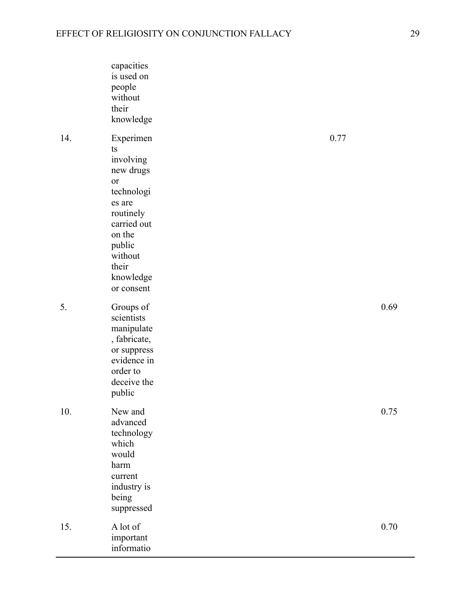|     | capacities<br>is used on<br>people<br>without<br>their<br>knowledge                                                                                                    |      |      |
|-----|------------------------------------------------------------------------------------------------------------------------------------------------------------------------|------|------|
| 14. | Experimen<br>ts<br>involving<br>new drugs<br>or<br>technologi<br>es are<br>routinely<br>carried out<br>on the<br>public<br>without<br>their<br>knowledge<br>or consent | 0.77 |      |
| 5.  | Groups of<br>scientists<br>manipulate<br>, fabricate,<br>or suppress<br>evidence in<br>order to<br>deceive the<br>public                                               |      | 0.69 |
| 10. | New and<br>advanced<br>technology<br>which<br>would<br>harm<br>current<br>industry is<br>being<br>suppressed                                                           |      | 0.75 |
| 15. | A lot of<br>important<br>informatio                                                                                                                                    |      | 0.70 |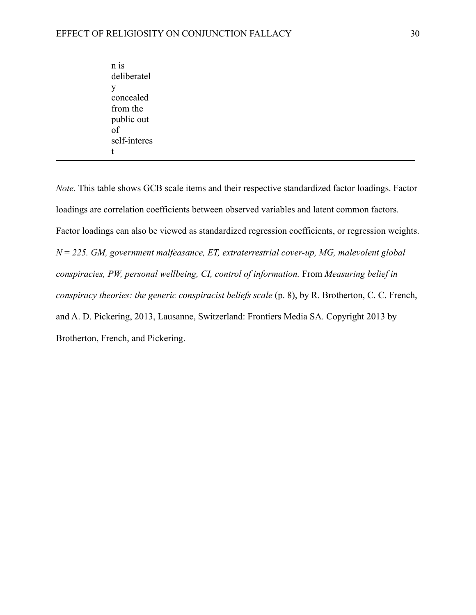| n 18         |
|--------------|
| deliberatel  |
| V            |
| concealed    |
| from the     |
| public out   |
| of           |
| self-interes |
|              |

*Note.* This table shows GCB scale items and their respective standardized factor loadings. Factor loadings are correlation coefficients between observed variables and latent common factors. Factor loadings can also be viewed as standardized regression coefficients, or regression weights. *N* = *225. GM, government malfeasance, ET, extraterrestrial cover-up, MG, malevolent global conspiracies, PW, personal wellbeing, CI, control of information.* From *Measuring belief in conspiracy theories: the generic conspiracist beliefs scale* (p. 8), by R. Brotherton, C. C. French, and A. D. Pickering, 2013, Lausanne, Switzerland: Frontiers Media SA. Copyright 2013 by Brotherton, French, and Pickering.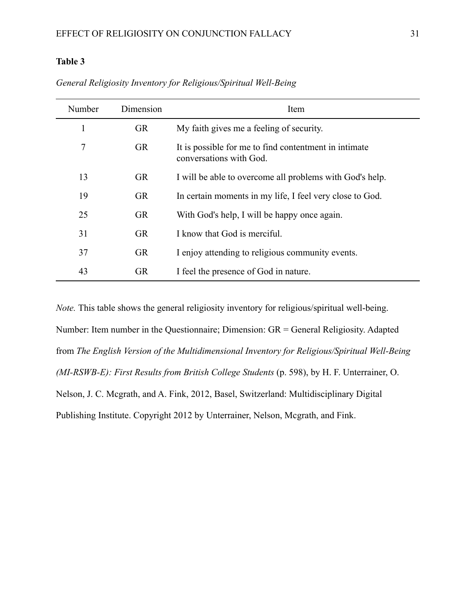# **Table 3**

| Number | Dimension | Item                                                                             |
|--------|-----------|----------------------------------------------------------------------------------|
|        | <b>GR</b> | My faith gives me a feeling of security.                                         |
| 7      | <b>GR</b> | It is possible for me to find contentment in intimate<br>conversations with God. |
| 13     | <b>GR</b> | I will be able to overcome all problems with God's help.                         |
| 19     | <b>GR</b> | In certain moments in my life, I feel very close to God.                         |
| 25     | <b>GR</b> | With God's help, I will be happy once again.                                     |
| 31     | <b>GR</b> | I know that God is merciful.                                                     |
| 37     | <b>GR</b> | I enjoy attending to religious community events.                                 |
| 43     | <b>GR</b> | I feel the presence of God in nature.                                            |

*General Religiosity Inventory for Religious/Spiritual Well-Being*

*Note.* This table shows the general religiosity inventory for religious/spiritual well-being. Number: Item number in the Questionnaire; Dimension: GR = General Religiosity. Adapted from *The English Version of the Multidimensional Inventory for Religious/Spiritual Well-Being (MI-RSWB-E): First Results from British College Students* (p. 598), by H. F. Unterrainer, O. Nelson, J. C. Mcgrath, and A. Fink, 2012, Basel, Switzerland: Multidisciplinary Digital Publishing Institute. Copyright 2012 by Unterrainer, Nelson, Mcgrath, and Fink.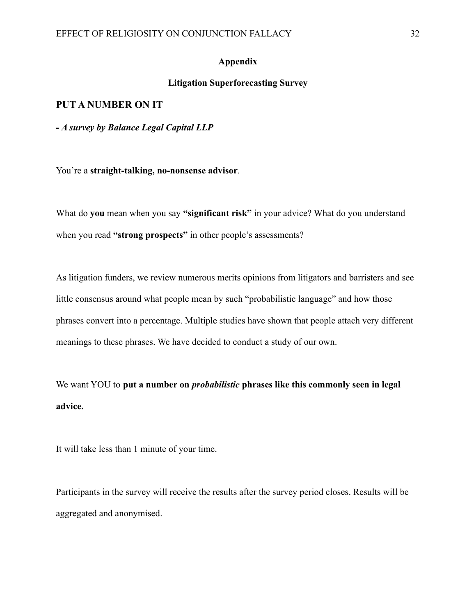### **Appendix**

## **Litigation Superforecasting Survey**

### **PUT A NUMBER ON IT**

**-** *A survey by Balance Legal Capital LLP*

You're a **straight-talking, no-nonsense advisor**.

What do **you** mean when you say **"significant risk"** in your advice? What do you understand when you read **"strong prospects"** in other people's assessments?

As litigation funders, we review numerous merits opinions from litigators and barristers and see little consensus around what people mean by such "probabilistic language" and how those phrases convert into a percentage. Multiple studies have shown that people attach very different meanings to these phrases. We have decided to conduct a study of our own.

We want YOU to **put a number on** *probabilistic* **phrases like this commonly seen in legal advice.**

It will take less than 1 minute of your time.

Participants in the survey will receive the results after the survey period closes. Results will be aggregated and anonymised.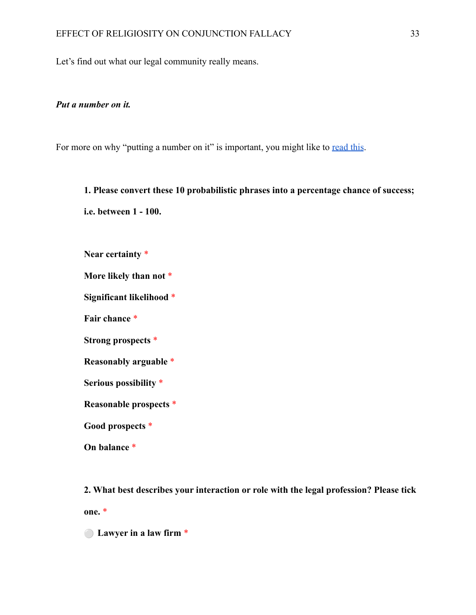Let's find out what our legal community really means.

### *Put a number on it.*

For more on why "putting a number on it" is important, you might like to [read this](https://www.balancelegalcapital.com/litigation-superforecasting-part-1-put-a-number-on-it/).

**1. Please convert these 10 probabilistic phrases into a percentage chance of success; i.e. between 1 - 100.**

**Near certainty** \*

**More likely than not** \*

**Significant likelihood** \*

**Fair chance** \*

**Strong prospects** \*

**Reasonably arguable** \*

**Serious possibility** \*

**Reasonable prospects** \*

**Good prospects** \*

**On balance** \*

**2. What best describes your interaction or role with the legal profession? Please tick one.** \*

⚪ **Lawyer in a law firm** \*